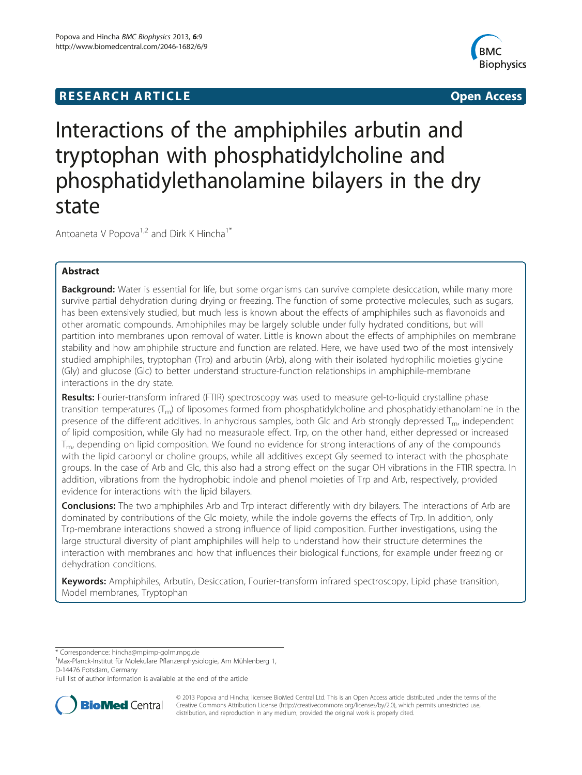## **RESEARCH ARTICLE CONSUMING A RESEARCH ARTICLE**



# Interactions of the amphiphiles arbutin and tryptophan with phosphatidylcholine and phosphatidylethanolamine bilayers in the dry state

Antoaneta V Popova $1,2$  and Dirk K Hincha $1^*$ 

## Abstract

Background: Water is essential for life, but some organisms can survive complete desiccation, while many more survive partial dehydration during drying or freezing. The function of some protective molecules, such as sugars, has been extensively studied, but much less is known about the effects of amphiphiles such as flavonoids and other aromatic compounds. Amphiphiles may be largely soluble under fully hydrated conditions, but will partition into membranes upon removal of water. Little is known about the effects of amphiphiles on membrane stability and how amphiphile structure and function are related. Here, we have used two of the most intensively studied amphiphiles, tryptophan (Trp) and arbutin (Arb), along with their isolated hydrophilic moieties glycine (Gly) and glucose (Glc) to better understand structure-function relationships in amphiphile-membrane interactions in the dry state.

Results: Fourier-transform infrared (FTIR) spectroscopy was used to measure gel-to-liquid crystalline phase transition temperatures  $(T_m)$  of liposomes formed from phosphatidylcholine and phosphatidylethanolamine in the presence of the different additives. In anhydrous samples, both Glc and Arb strongly depressed  $T_{\text{m}}$ , independent of lipid composition, while Gly had no measurable effect. Trp, on the other hand, either depressed or increased  $T_{\text{m}}$ , depending on lipid composition. We found no evidence for strong interactions of any of the compounds with the lipid carbonyl or choline groups, while all additives except Gly seemed to interact with the phosphate groups. In the case of Arb and Glc, this also had a strong effect on the sugar OH vibrations in the FTIR spectra. In addition, vibrations from the hydrophobic indole and phenol moieties of Trp and Arb, respectively, provided evidence for interactions with the lipid bilayers.

Conclusions: The two amphiphiles Arb and Trp interact differently with dry bilayers. The interactions of Arb are dominated by contributions of the Glc moiety, while the indole governs the effects of Trp. In addition, only Trp-membrane interactions showed a strong influence of lipid composition. Further investigations, using the large structural diversity of plant amphiphiles will help to understand how their structure determines the interaction with membranes and how that influences their biological functions, for example under freezing or dehydration conditions.

Keywords: Amphiphiles, Arbutin, Desiccation, Fourier-transform infrared spectroscopy, Lipid phase transition, Model membranes, Tryptophan

\* Correspondence: [hincha@mpimp-golm.mpg.de](mailto:hincha@mpimp-golm.mpg.de) <sup>1</sup>

Max-Planck-Institut für Molekulare Pflanzenphysiologie, Am Mühlenberg 1, D-14476 Potsdam, Germany

Full list of author information is available at the end of the article



© 2013 Popova and Hincha; licensee BioMed Central Ltd. This is an Open Access article distributed under the terms of the Creative Commons Attribution License (<http://creativecommons.org/licenses/by/2.0>), which permits unrestricted use, distribution, and reproduction in any medium, provided the original work is properly cited.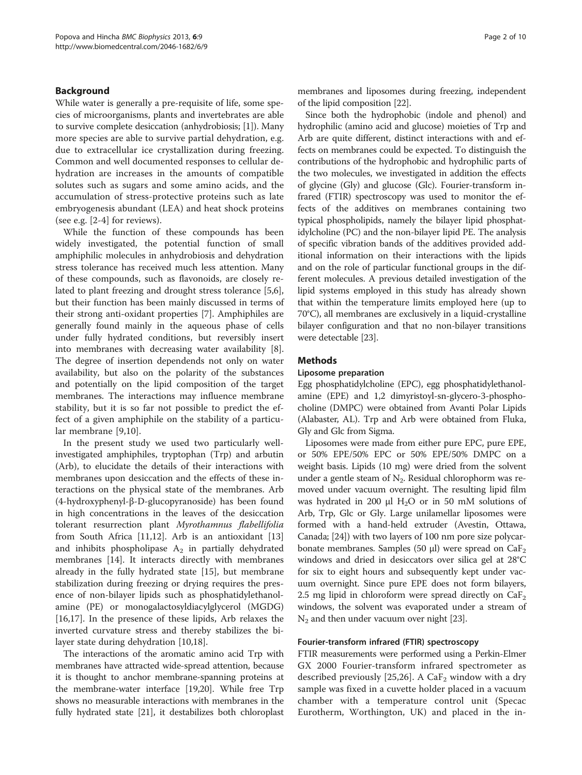## Background

While water is generally a pre-requisite of life, some species of microorganisms, plants and invertebrates are able to survive complete desiccation (anhydrobiosis; [[1\]](#page-7-0)). Many more species are able to survive partial dehydration, e.g. due to extracellular ice crystallization during freezing. Common and well documented responses to cellular dehydration are increases in the amounts of compatible solutes such as sugars and some amino acids, and the accumulation of stress-protective proteins such as late embryogenesis abundant (LEA) and heat shock proteins (see e.g. [[2](#page-8-0)-[4\]](#page-8-0) for reviews).

While the function of these compounds has been widely investigated, the potential function of small amphiphilic molecules in anhydrobiosis and dehydration stress tolerance has received much less attention. Many of these compounds, such as flavonoids, are closely related to plant freezing and drought stress tolerance [\[5,6](#page-8-0)], but their function has been mainly discussed in terms of their strong anti-oxidant properties [\[7](#page-8-0)]. Amphiphiles are generally found mainly in the aqueous phase of cells under fully hydrated conditions, but reversibly insert into membranes with decreasing water availability [\[8](#page-8-0)]. The degree of insertion dependends not only on water availability, but also on the polarity of the substances and potentially on the lipid composition of the target membranes. The interactions may influence membrane stability, but it is so far not possible to predict the effect of a given amphiphile on the stability of a particular membrane [[9,10](#page-8-0)].

In the present study we used two particularly wellinvestigated amphiphiles, tryptophan (Trp) and arbutin (Arb), to elucidate the details of their interactions with membranes upon desiccation and the effects of these interactions on the physical state of the membranes. Arb (4-hydroxyphenyl-β-D-glucopyranoside) has been found in high concentrations in the leaves of the desiccation tolerant resurrection plant Myrothamnus flabellifolia from South Africa [[11,12](#page-8-0)]. Arb is an antioxidant [[13](#page-8-0)] and inhibits phospholipase  $A_2$  in partially dehydrated membranes [[14](#page-8-0)]. It interacts directly with membranes already in the fully hydrated state [\[15\]](#page-8-0), but membrane stabilization during freezing or drying requires the presence of non-bilayer lipids such as phosphatidylethanolamine (PE) or monogalactosyldiacylglycerol (MGDG) [[16,17\]](#page-8-0). In the presence of these lipids, Arb relaxes the inverted curvature stress and thereby stabilizes the bilayer state during dehydration [[10,18\]](#page-8-0).

The interactions of the aromatic amino acid Trp with membranes have attracted wide-spread attention, because it is thought to anchor membrane-spanning proteins at the membrane-water interface [[19,20](#page-8-0)]. While free Trp shows no measurable interactions with membranes in the fully hydrated state [\[21\]](#page-8-0), it destabilizes both chloroplast membranes and liposomes during freezing, independent of the lipid composition [\[22\]](#page-8-0).

Since both the hydrophobic (indole and phenol) and hydrophilic (amino acid and glucose) moieties of Trp and Arb are quite different, distinct interactions with and effects on membranes could be expected. To distinguish the contributions of the hydrophobic and hydrophilic parts of the two molecules, we investigated in addition the effects of glycine (Gly) and glucose (Glc). Fourier-transform infrared (FTIR) spectroscopy was used to monitor the effects of the additives on membranes containing two typical phospholipids, namely the bilayer lipid phosphatidylcholine (PC) and the non-bilayer lipid PE. The analysis of specific vibration bands of the additives provided additional information on their interactions with the lipids and on the role of particular functional groups in the different molecules. A previous detailed investigation of the lipid systems employed in this study has already shown that within the temperature limits employed here (up to 70°C), all membranes are exclusively in a liquid-crystalline bilayer configuration and that no non-bilayer transitions were detectable [\[23](#page-8-0)].

## **Methods**

#### Liposome preparation

Egg phosphatidylcholine (EPC), egg phosphatidylethanolamine (EPE) and 1,2 dimyristoyl-sn-glycero-3-phosphocholine (DMPC) were obtained from Avanti Polar Lipids (Alabaster, AL). Trp and Arb were obtained from Fluka, Gly and Glc from Sigma.

Liposomes were made from either pure EPC, pure EPE, or 50% EPE/50% EPC or 50% EPE/50% DMPC on a weight basis. Lipids (10 mg) were dried from the solvent under a gentle steam of  $N_2$ . Residual chlorophorm was removed under vacuum overnight. The resulting lipid film was hydrated in 200  $\mu$ l H<sub>2</sub>O or in 50 mM solutions of Arb, Trp, Glc or Gly. Large unilamellar liposomes were formed with a hand-held extruder (Avestin, Ottawa, Canada; [\[24](#page-8-0)]) with two layers of 100 nm pore size polycarbonate membranes. Samples (50 μl) were spread on  $CaF<sub>2</sub>$ windows and dried in desiccators over silica gel at 28°C for six to eight hours and subsequently kept under vacuum overnight. Since pure EPE does not form bilayers, 2.5 mg lipid in chloroform were spread directly on  $CaF<sub>2</sub>$ windows, the solvent was evaporated under a stream of  $N_2$  and then under vacuum over night [[23](#page-8-0)].

## Fourier-transform infrared (FTIR) spectroscopy

FTIR measurements were performed using a Perkin-Elmer GX 2000 Fourier-transform infrared spectrometer as described previously [\[25](#page-8-0),[26\]](#page-8-0). A  $CaF<sub>2</sub>$  window with a dry sample was fixed in a cuvette holder placed in a vacuum chamber with a temperature control unit (Specac Eurotherm, Worthington, UK) and placed in the in-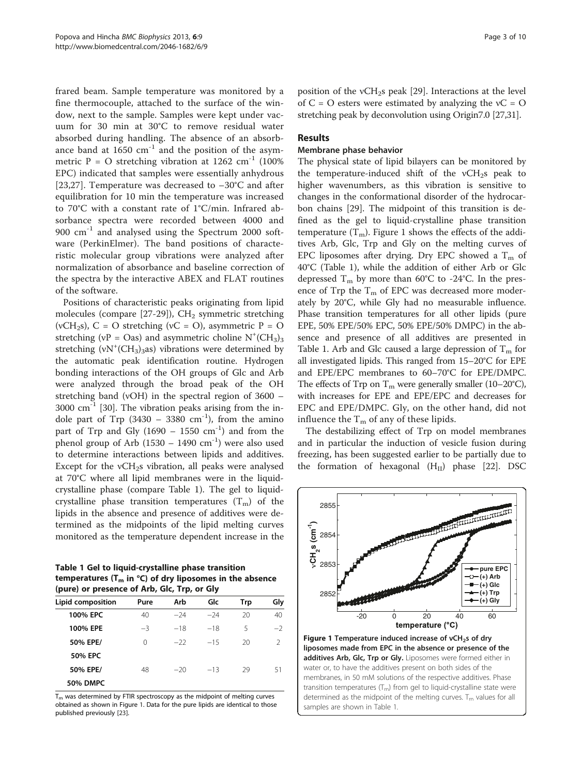frared beam. Sample temperature was monitored by a fine thermocouple, attached to the surface of the window, next to the sample. Samples were kept under vacuum for 30 min at 30°C to remove residual water absorbed during handling. The absence of an absorbance band at  $1650 \text{ cm}^{-1}$  and the position of the asymmetric P = O stretching vibration at 1262 cm<sup>-1</sup> (100%) EPC) indicated that samples were essentially anhydrous [[23,27](#page-8-0)]. Temperature was decreased to –30°C and after equilibration for 10 min the temperature was increased to 70°C with a constant rate of 1°C/min. Infrared absorbance spectra were recorded between 4000 and 900 cm<sup>-1</sup> and analysed using the Spectrum 2000 software (PerkinElmer). The band positions of characteristic molecular group vibrations were analyzed after normalization of absorbance and baseline correction of the spectra by the interactive ABEX and FLAT routines of the software.

Positions of characteristic peaks originating from lipid molecules (compare [\[27](#page-8-0)-[29\]](#page-8-0)),  $CH<sub>2</sub>$  symmetric stretching (vCH<sub>2</sub>s), C = O stretching (vC = O), asymmetric P = O stretching (vP = Oas) and asymmetric choline  $N^+(CH_3)_3$ stretching  $(vN^+(CH_3)_3)$  vibrations were determined by the automatic peak identification routine. Hydrogen bonding interactions of the OH groups of Glc and Arb were analyzed through the broad peak of the OH stretching band (vOH) in the spectral region of 3600 - $3000 \text{ cm}^{-1}$  [\[30\]](#page-8-0). The vibration peaks arising from the indole part of Trp  $(3430 - 3380 \text{ cm}^{-1})$ , from the amino part of Trp and Gly (1690 – 1550  $\text{cm}^{-1}$ ) and from the phenol group of Arb (1530 – 1490  $\text{cm}^{-1}$ ) were also used to determine interactions between lipids and additives. Except for the  $vCH_2s$  vibration, all peaks were analysed at 70°C where all lipid membranes were in the liquidcrystalline phase (compare Table 1). The gel to liquidcrystalline phase transition temperatures  $(T_m)$  of the lipids in the absence and presence of additives were determined as the midpoints of the lipid melting curves monitored as the temperature dependent increase in the

Table 1 Gel to liquid-crystalline phase transition temperatures ( $T_m$  in °C) of dry liposomes in the absence (pure) or presence of Arb, Glc, Trp, or Gly

| (pare) or presence or And, GIC, Trp, or Giv |          |       |       |     |               |
|---------------------------------------------|----------|-------|-------|-----|---------------|
| Lipid composition                           | Pure     | Arb   | Glc   | Trp | Gly           |
| 100% EPC                                    | 40       | $-24$ | $-24$ | 20  | 40            |
| 100% EPE                                    | $-3$     | $-18$ | $-18$ | 5   | $-2$          |
| 50% EPE/                                    | $\Omega$ | $-22$ | $-15$ | 20  | $\mathcal{L}$ |
| 50% EPC                                     |          |       |       |     |               |
| 50% EPE/                                    | 48       | $-20$ | $-13$ | 29  | 51            |
| <b>50% DMPC</b>                             |          |       |       |     |               |

 $T<sub>m</sub>$  was determined by FTIR spectroscopy as the midpoint of melting curves obtained as shown in Figure 1. Data for the pure lipids are identical to those published previously [[23\]](#page-8-0).

position of the  $vCH_2s$  peak [[29\]](#page-8-0). Interactions at the level of  $C = O$  esters were estimated by analyzing the  $vC = O$ stretching peak by deconvolution using Origin7.0 [\[27,31](#page-8-0)].

## Results

#### Membrane phase behavior

The physical state of lipid bilayers can be monitored by the temperature-induced shift of the  $vCH_2s$  peak to higher wavenumbers, as this vibration is sensitive to changes in the conformational disorder of the hydrocarbon chains [\[29\]](#page-8-0). The midpoint of this transition is defined as the gel to liquid-crystalline phase transition temperature  $(T_m)$ . Figure 1 shows the effects of the additives Arb, Glc, Trp and Gly on the melting curves of EPC liposomes after drying. Dry EPC showed a  $T_m$  of 40°C (Table 1), while the addition of either Arb or Glc depressed  $T_m$  by more than 60°C to -24°C. In the presence of Trp the  $T_m$  of EPC was decreased more moderately by 20°C, while Gly had no measurable influence. Phase transition temperatures for all other lipids (pure EPE, 50% EPE/50% EPC, 50% EPE/50% DMPC) in the absence and presence of all additives are presented in Table 1. Arb and Glc caused a large depression of  $T_m$  for all investigated lipids. This ranged from 15–20°C for EPE and EPE/EPC membranes to 60–70°C for EPE/DMPC. The effects of Trp on  $T_m$  were generally smaller (10–20°C), with increases for EPE and EPE/EPC and decreases for EPC and EPE/DMPC. Gly, on the other hand, did not influence the  $T_m$  of any of these lipids.

The destabilizing effect of Trp on model membranes and in particular the induction of vesicle fusion during freezing, has been suggested earlier to be partially due to the formation of hexagonal  $(H_{II})$  phase [\[22\]](#page-8-0). DSC

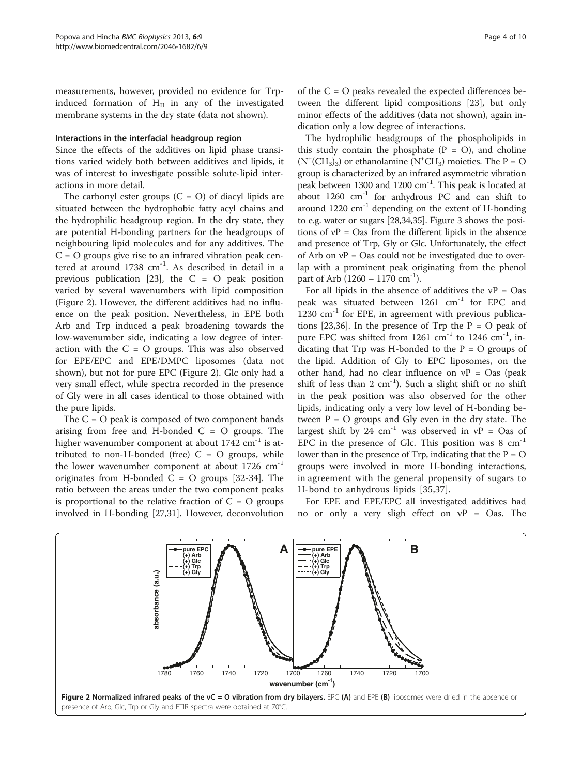measurements, however, provided no evidence for Trpinduced formation of  $H<sub>II</sub>$  in any of the investigated membrane systems in the dry state (data not shown).

#### Interactions in the interfacial headgroup region

Since the effects of the additives on lipid phase transitions varied widely both between additives and lipids, it was of interest to investigate possible solute-lipid interactions in more detail.

The carbonyl ester groups  $(C = O)$  of diacyl lipids are situated between the hydrophobic fatty acyl chains and the hydrophilic headgroup region. In the dry state, they are potential H-bonding partners for the headgroups of neighbouring lipid molecules and for any additives. The  $C = O$  groups give rise to an infrared vibration peak centered at around  $1738 \text{ cm}^{-1}$ . As described in detail in a previous publication [[23\]](#page-8-0), the  $C = O$  peak position varied by several wavenumbers with lipid composition (Figure 2). However, the different additives had no influence on the peak position. Nevertheless, in EPE both Arb and Trp induced a peak broadening towards the low-wavenumber side, indicating a low degree of interaction with the  $C = O$  groups. This was also observed for EPE/EPC and EPE/DMPC liposomes (data not shown), but not for pure EPC (Figure 2). Glc only had a very small effect, while spectra recorded in the presence of Gly were in all cases identical to those obtained with the pure lipids.

The  $C = O$  peak is composed of two component bands arising from free and H-bonded  $C = O$  groups. The higher wavenumber component at about  $1742 \text{ cm}^{-1}$  is attributed to non-H-bonded (free)  $C = O$  groups, while the lower wavenumber component at about 1726 cm-1 originates from H-bonded  $C = O$  groups [\[32](#page-8-0)-[34](#page-8-0)]. The ratio between the areas under the two component peaks is proportional to the relative fraction of  $C = O$  groups involved in H-bonding [[27,31\]](#page-8-0). However, deconvolution

of the  $C = O$  peaks revealed the expected differences between the different lipid compositions [[23\]](#page-8-0), but only minor effects of the additives (data not shown), again indication only a low degree of interactions.

The hydrophilic headgroups of the phospholipids in this study contain the phosphate  $(P = O)$ , and choline  $({\rm N}^{\rm +}(CH_3)_3)$  or ethanolamine  $({\rm N}^{\rm +}CH_3)$  moieties. The P = O group is characterized by an infrared asymmetric vibration peak between 1300 and 1200 cm<sup>-1</sup>. This peak is located at about  $1260 \text{ cm}^{-1}$  for anhydrous PC and can shift to around  $1220 \text{ cm}^{-1}$  depending on the extent of H-bonding to e.g. water or sugars [\[28,34,35](#page-8-0)]. Figure [3](#page-4-0) shows the positions of  $vP = \text{Oas}$  from the different lipids in the absence and presence of Trp, Gly or Glc. Unfortunately, the effect of Arb on  $vP = O$  as could not be investigated due to overlap with a prominent peak originating from the phenol part of Arb  $(1260 - 1170 \text{ cm}^{-1})$ .

For all lipids in the absence of additives the  $vP = O$ as peak was situated between 1261 cm<sup>-1</sup> for EPC and  $1230 \text{ cm}^{-1}$  for EPE, in agreement with previous publica-tions [[23](#page-8-0),[36](#page-8-0)]. In the presence of Trp the  $P = O$  peak of pure EPC was shifted from 1261 cm<sup>-1</sup> to 1246 cm<sup>-1</sup>, indicating that Trp was H-bonded to the  $P = O$  groups of the lipid. Addition of Gly to EPC liposomes, on the other hand, had no clear influence on  $vP = O$ as (peak shift of less than  $2 \text{ cm}^{-1}$ ). Such a slight shift or no shift in the peak position was also observed for the other lipids, indicating only a very low level of H-bonding between  $P = O$  groups and Gly even in the dry state. The largest shift by 24 cm<sup>-1</sup> was observed in  $vP = \text{Oas of }$ EPC in the presence of Glc. This position was  $8 \text{ cm}^{-1}$ lower than in the presence of Trp, indicating that the  $P = O$ groups were involved in more H-bonding interactions, in agreement with the general propensity of sugars to H-bond to anhydrous lipids [[35,37\]](#page-8-0).

For EPE and EPE/EPC all investigated additives had no or only a very sligh effect on  $vP = \text{Oas}$ . The

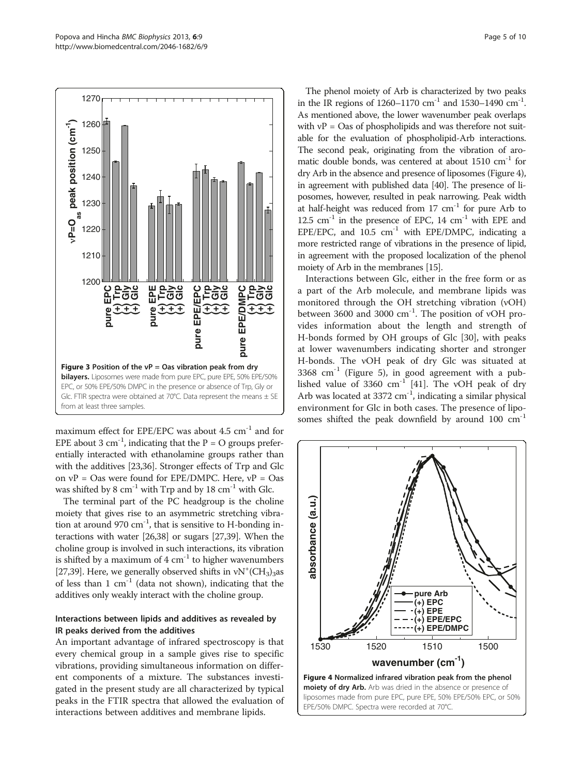<span id="page-4-0"></span>

maximum effect for EPE/EPC was about  $4.5 \text{ cm}^{-1}$  and for EPE about 3  $cm^{-1}$ , indicating that the P = O groups preferentially interacted with ethanolamine groups rather than with the additives [\[23,36](#page-8-0)]. Stronger effects of Trp and Glc on  $vP = O$ as were found for EPE/DMPC. Here,  $vP = O$ as was shifted by 8  $cm^{-1}$  with Trp and by 18  $cm^{-1}$  with Glc.

The terminal part of the PC headgroup is the choline moiety that gives rise to an asymmetric stretching vibration at around 970  $\text{cm}^{-1}$ , that is sensitive to H-bonding interactions with water [[26,38\]](#page-8-0) or sugars [\[27,39](#page-8-0)]. When the choline group is involved in such interactions, its vibration is shifted by a maximum of  $4 \text{ cm}^{-1}$  to higher wavenumbers [[27,39](#page-8-0)]. Here, we generally observed shifts in  $vN^+(CH_3)_3$ as of less than 1  $cm^{-1}$  (data not shown), indicating that the additives only weakly interact with the choline group.

## Interactions between lipids and additives as revealed by IR peaks derived from the additives

An important advantage of infrared spectroscopy is that every chemical group in a sample gives rise to specific vibrations, providing simultaneous information on different components of a mixture. The substances investigated in the present study are all characterized by typical peaks in the FTIR spectra that allowed the evaluation of interactions between additives and membrane lipids.

The phenol moiety of Arb is characterized by two peaks in the IR regions of  $1260-1170$  cm<sup>-1</sup> and  $1530-1490$  cm<sup>-1</sup>. As mentioned above, the lower wavenumber peak overlaps with  $vP = \text{Oas of phospholipids}$  and was therefore not suitable for the evaluation of phospholipid-Arb interactions. The second peak, originating from the vibration of aromatic double bonds, was centered at about  $1510 \text{ cm}^{-1}$  for dry Arb in the absence and presence of liposomes (Figure 4), in agreement with published data [[40](#page-8-0)]. The presence of liposomes, however, resulted in peak narrowing. Peak width at half-height was reduced from  $17 \text{ cm}^{-1}$  for pure Arb to 12.5  $cm^{-1}$  in the presence of EPC, 14  $cm^{-1}$  with EPE and EPE/EPC, and  $10.5$  cm<sup>-1</sup> with EPE/DMPC, indicating a more restricted range of vibrations in the presence of lipid, in agreement with the proposed localization of the phenol moiety of Arb in the membranes [[15](#page-8-0)].

Interactions between Glc, either in the free form or as a part of the Arb molecule, and membrane lipids was monitored through the OH stretching vibration (νOH) between 3600 and 3000 cm<sup>-1</sup>. The position of vOH provides information about the length and strength of H-bonds formed by OH groups of Glc [[30\]](#page-8-0), with peaks at lower wavenumbers indicating shorter and stronger H-bonds. The vOH peak of dry Glc was situated at  $3368$  cm<sup>-1</sup> (Figure [5\)](#page-5-0), in good agreement with a pub-lished value of 3360 cm<sup>-1</sup> [\[41](#page-8-0)]. The vOH peak of dry Arb was located at  $3372 \text{ cm}^{-1}$ , indicating a similar physical environment for Glc in both cases. The presence of liposomes shifted the peak downfield by around 100 cm<sup>-1</sup>

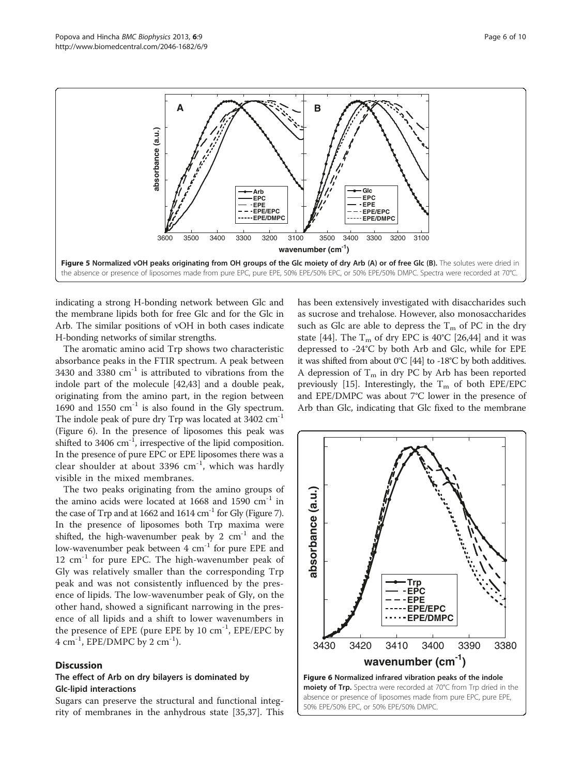<span id="page-5-0"></span>

indicating a strong H-bonding network between Glc and the membrane lipids both for free Glc and for the Glc in Arb. The similar positions of vOH in both cases indicate H-bonding networks of similar strengths.

The aromatic amino acid Trp shows two characteristic absorbance peaks in the FTIR spectrum. A peak between 3430 and 3380  $cm^{-1}$  is attributed to vibrations from the indole part of the molecule [\[42,43](#page-8-0)] and a double peak, originating from the amino part, in the region between 1690 and 1550 cm<sup>-1</sup> is also found in the Gly spectrum. The indole peak of pure dry Trp was located at 3402 cm<sup>-1</sup> (Figure 6). In the presence of liposomes this peak was shifted to 3406  $\text{cm}^{-1}$ , irrespective of the lipid composition. In the presence of pure EPC or EPE liposomes there was a clear shoulder at about 3396  $cm^{-1}$ , which was hardly visible in the mixed membranes.

The two peaks originating from the amino groups of the amino acids were located at  $1668$  and  $1590$  cm<sup>-1</sup> in the case of Trp and at 1662 and  $1614 \text{ cm}^{-1}$  for Gly (Figure [7\)](#page-6-0). In the presence of liposomes both Trp maxima were shifted, the high-wavenumber peak by 2  $cm^{-1}$  and the low-wavenumber peak between  $4 \text{ cm}^{-1}$  for pure EPE and  $12 \text{ cm}^{-1}$  for pure EPC. The high-wavenumber peak of Gly was relatively smaller than the corresponding Trp peak and was not consistently influenced by the presence of lipids. The low-wavenumber peak of Gly, on the other hand, showed a significant narrowing in the presence of all lipids and a shift to lower wavenumbers in the presence of EPE (pure EPE by  $10 \text{ cm}^{-1}$ , EPE/EPC by  $4 \text{ cm}^{-1}$ , EPE/DMPC by  $2 \text{ cm}^{-1}$ ).

#### **Discussion**

## The effect of Arb on dry bilayers is dominated by Glc-lipid interactions

Sugars can preserve the structural and functional integrity of membranes in the anhydrous state [\[35,37\]](#page-8-0). This has been extensively investigated with disaccharides such as sucrose and trehalose. However, also monosaccharides such as Glc are able to depress the  $T_m$  of PC in the dry state [\[44\]](#page-8-0). The  $T_m$  of dry EPC is 40°C [[26,44\]](#page-8-0) and it was depressed to -24°C by both Arb and Glc, while for EPE it was shifted from about 0°C [\[44](#page-8-0)] to -18°C by both additives. A depression of  $T_m$  in dry PC by Arb has been reported previously [[15](#page-8-0)]. Interestingly, the  $T_m$  of both EPE/EPC and EPE/DMPC was about 7°C lower in the presence of Arb than Glc, indicating that Glc fixed to the membrane

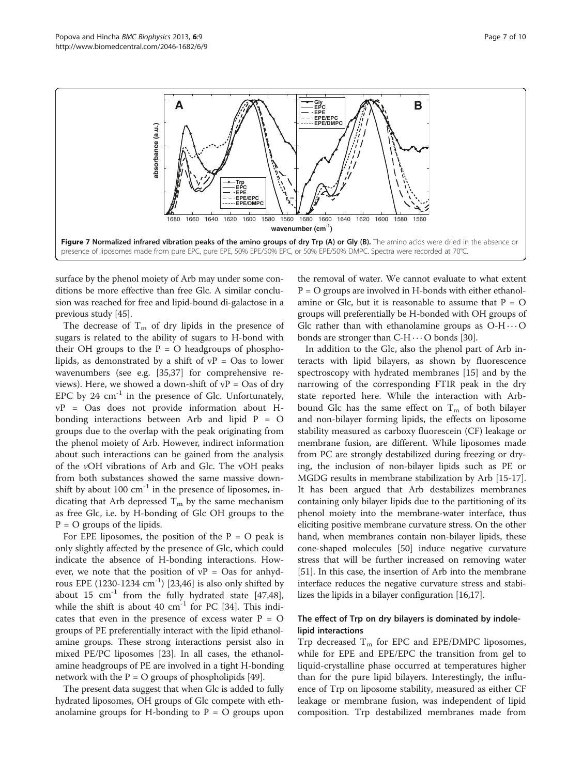<span id="page-6-0"></span>

surface by the phenol moiety of Arb may under some conditions be more effective than free Glc. A similar conclusion was reached for free and lipid-bound di-galactose in a previous study [\[45](#page-8-0)].

The decrease of  $T_m$  of dry lipids in the presence of sugars is related to the ability of sugars to H-bond with their OH groups to the  $P = O$  headgroups of phospholipids, as demonstrated by a shift of  $vP = O$ as to lower wavenumbers (see e.g. [[35,37\]](#page-8-0) for comprehensive reviews). Here, we showed a down-shift of  $vP = O$ as of dry EPC by  $24 \text{ cm}^{-1}$  in the presence of Glc. Unfortunately, νP = Oas does not provide information about Hbonding interactions between Arb and lipid  $P = O$ groups due to the overlap with the peak originating from the phenol moiety of Arb. However, indirect information about such interactions can be gained from the analysis of the vOH vibrations of Arb and Glc. The νOH peaks from both substances showed the same massive downshift by about  $100 \text{ cm}^{-1}$  in the presence of liposomes, indicating that Arb depressed  $T_m$  by the same mechanism as free Glc, i.e. by H-bonding of Glc OH groups to the  $P = O$  groups of the lipids.

For EPE liposomes, the position of the  $P = O$  peak is only slightly affected by the presence of Glc, which could indicate the absence of H-bonding interactions. However, we note that the position of  $vP = O$ as for anhyd-rous EPE (1230-1234 cm<sup>-1</sup>) [\[23,46](#page-8-0)] is also only shifted by about 15  $cm^{-1}$  from the fully hydrated state [\[47,48](#page-8-0)], while the shift is about 40  $\text{cm}^{-1}$  for PC [\[34\]](#page-8-0). This indicates that even in the presence of excess water  $P = O$ groups of PE preferentially interact with the lipid ethanolamine groups. These strong interactions persist also in mixed PE/PC liposomes [\[23\]](#page-8-0). In all cases, the ethanolamine headgroups of PE are involved in a tight H-bonding network with the  $P = O$  groups of phospholipids [\[49\]](#page-9-0).

The present data suggest that when Glc is added to fully hydrated liposomes, OH groups of Glc compete with ethanolamine groups for H-bonding to  $P = O$  groups upon the removal of water. We cannot evaluate to what extent  $P = O$  groups are involved in H-bonds with either ethanolamine or Glc, but it is reasonable to assume that  $P = O$ groups will preferentially be H-bonded with OH groups of Glc rather than with ethanolamine groups as  $O-H \cdots O$ bonds are stronger than  $C-H \cdots O$  bonds [\[30\]](#page-8-0).

In addition to the Glc, also the phenol part of Arb interacts with lipid bilayers, as shown by fluorescence spectroscopy with hydrated membranes [[15\]](#page-8-0) and by the narrowing of the corresponding FTIR peak in the dry state reported here. While the interaction with Arbbound Glc has the same effect on  $T_m$  of both bilayer and non-bilayer forming lipids, the effects on liposome stability measured as carboxy fluorescein (CF) leakage or membrane fusion, are different. While liposomes made from PC are strongly destabilized during freezing or drying, the inclusion of non-bilayer lipids such as PE or MGDG results in membrane stabilization by Arb [[15](#page-8-0)-[17](#page-8-0)]. It has been argued that Arb destabilizes membranes containing only bilayer lipids due to the partitioning of its phenol moiety into the membrane-water interface, thus eliciting positive membrane curvature stress. On the other hand, when membranes contain non-bilayer lipids, these cone-shaped molecules [[50\]](#page-9-0) induce negative curvature stress that will be further increased on removing water [[51](#page-9-0)]. In this case, the insertion of Arb into the membrane interface reduces the negative curvature stress and stabilizes the lipids in a bilayer configuration [[16,17\]](#page-8-0).

## The effect of Trp on dry bilayers is dominated by indolelipid interactions

Trp decreased  $T_m$  for EPC and EPE/DMPC liposomes, while for EPE and EPE/EPC the transition from gel to liquid-crystalline phase occurred at temperatures higher than for the pure lipid bilayers. Interestingly, the influence of Trp on liposome stability, measured as either CF leakage or membrane fusion, was independent of lipid composition. Trp destabilized membranes made from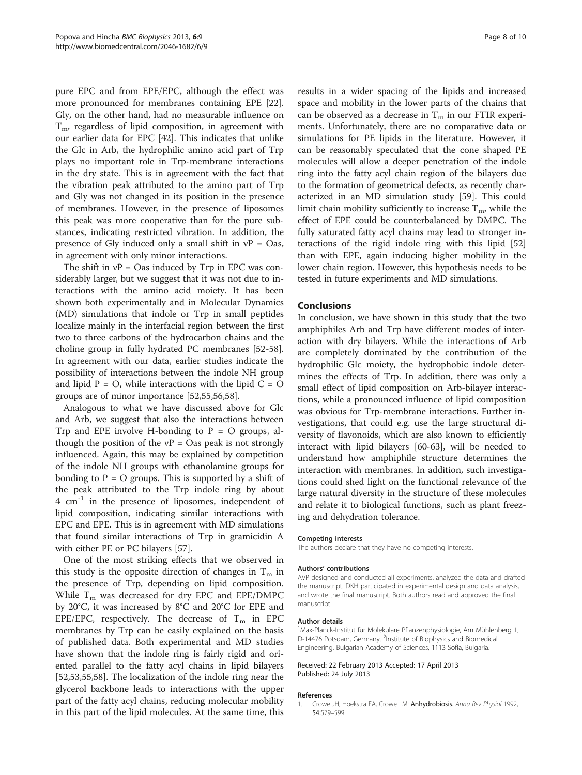<span id="page-7-0"></span>pure EPC and from EPE/EPC, although the effect was more pronounced for membranes containing EPE [\[22](#page-8-0)]. Gly, on the other hand, had no measurable influence on Tm, regardless of lipid composition, in agreement with our earlier data for EPC [\[42\]](#page-8-0). This indicates that unlike the Glc in Arb, the hydrophilic amino acid part of Trp plays no important role in Trp-membrane interactions in the dry state. This is in agreement with the fact that the vibration peak attributed to the amino part of Trp and Gly was not changed in its position in the presence of membranes. However, in the presence of liposomes this peak was more cooperative than for the pure substances, indicating restricted vibration. In addition, the presence of Gly induced only a small shift in  $vP = O$ as, in agreement with only minor interactions.

The shift in  $vP = O$ as induced by Trp in EPC was considerably larger, but we suggest that it was not due to interactions with the amino acid moiety. It has been shown both experimentally and in Molecular Dynamics (MD) simulations that indole or Trp in small peptides localize mainly in the interfacial region between the first two to three carbons of the hydrocarbon chains and the choline group in fully hydrated PC membranes [\[52-58](#page-9-0)]. In agreement with our data, earlier studies indicate the possibility of interactions between the indole NH group and lipid  $P = O$ , while interactions with the lipid  $C = O$ groups are of minor importance [\[52,55,56,58](#page-9-0)].

Analogous to what we have discussed above for Glc and Arb, we suggest that also the interactions between Trp and EPE involve H-bonding to  $P = O$  groups, although the position of the  $vP = \text{Oas peak}$  is not strongly influenced. Again, this may be explained by competition of the indole NH groups with ethanolamine groups for bonding to  $P = O$  groups. This is supported by a shift of the peak attributed to the Trp indole ring by about 4 cm-1 in the presence of liposomes, independent of lipid composition, indicating similar interactions with EPC and EPE. This is in agreement with MD simulations that found similar interactions of Trp in gramicidin A with either PE or PC bilayers [[57\]](#page-9-0).

One of the most striking effects that we observed in this study is the opposite direction of changes in  $T_m$  in the presence of Trp, depending on lipid composition. While  $T_m$  was decreased for dry EPC and EPE/DMPC by 20°C, it was increased by 8°C and 20°C for EPE and EPE/EPC, respectively. The decrease of  $T_m$  in EPC membranes by Trp can be easily explained on the basis of published data. Both experimental and MD studies have shown that the indole ring is fairly rigid and oriented parallel to the fatty acyl chains in lipid bilayers [[52,53,55,58\]](#page-9-0). The localization of the indole ring near the glycerol backbone leads to interactions with the upper part of the fatty acyl chains, reducing molecular mobility in this part of the lipid molecules. At the same time, this

results in a wider spacing of the lipids and increased space and mobility in the lower parts of the chains that can be observed as a decrease in  $T_m$  in our FTIR experiments. Unfortunately, there are no comparative data or simulations for PE lipids in the literature. However, it can be reasonably speculated that the cone shaped PE molecules will allow a deeper penetration of the indole ring into the fatty acyl chain region of the bilayers due to the formation of geometrical defects, as recently characterized in an MD simulation study [[59\]](#page-9-0). This could limit chain mobility sufficiently to increase  $T_m$ , while the effect of EPE could be counterbalanced by DMPC. The fully saturated fatty acyl chains may lead to stronger interactions of the rigid indole ring with this lipid [[52](#page-9-0)] than with EPE, again inducing higher mobility in the lower chain region. However, this hypothesis needs to be tested in future experiments and MD simulations.

#### Conclusions

In conclusion, we have shown in this study that the two amphiphiles Arb and Trp have different modes of interaction with dry bilayers. While the interactions of Arb are completely dominated by the contribution of the hydrophilic Glc moiety, the hydrophobic indole determines the effects of Trp. In addition, there was only a small effect of lipid composition on Arb-bilayer interactions, while a pronounced influence of lipid composition was obvious for Trp-membrane interactions. Further investigations, that could e.g. use the large structural diversity of flavonoids, which are also known to efficiently interact with lipid bilayers [\[60](#page-9-0)-[63\]](#page-9-0), will be needed to understand how amphiphile structure determines the interaction with membranes. In addition, such investigations could shed light on the functional relevance of the large natural diversity in the structure of these molecules and relate it to biological functions, such as plant freezing and dehydration tolerance.

#### Competing interests

The authors declare that they have no competing interests.

#### Authors' contributions

AVP designed and conducted all experiments, analyzed the data and drafted the manuscript. DKH participated in experimental design and data analysis, and wrote the final manuscript. Both authors read and approved the final manuscript.

#### Author details

1 Max-Planck-Institut für Molekulare Pflanzenphysiologie, Am Mühlenberg 1, D-14476 Potsdam, Germany. <sup>2</sup>Institute of Biophysics and Biomedical Engineering, Bulgarian Academy of Sciences, 1113 Sofia, Bulgaria.

#### Received: 22 February 2013 Accepted: 17 April 2013 Published: 24 July 2013

#### References

1. Crowe JH, Hoekstra FA, Crowe LM: Anhydrobiosis. Annu Rev Physiol 1992, 54:579–599.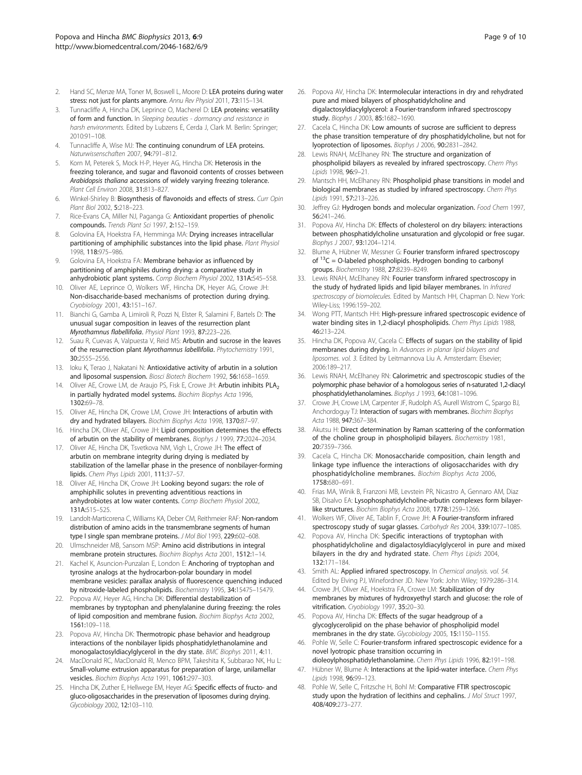- <span id="page-8-0"></span>2. Hand SC, Menze MA, Toner M, Boswell L, Moore D: LEA proteins during water stress: not just for plants anymore. Annu Rev Physiol 2011, 73:115–134.
- 3. Tunnacliffe A, Hincha DK, Leprince O, Macherel D: LEA proteins: versatility of form and function. In Sleeping beauties - dormancy and resistance in harsh environments. Edited by Lubzens E, Cerda J, Clark M. Berlin: Springer; 2010:91–108.
- 4. Tunnacliffe A, Wise MJ: The continuing conundrum of LEA proteins. Naturwissenschaften 2007, 94:791–812.
- Korn M, Peterek S, Mock H-P, Heyer AG, Hincha DK: Heterosis in the freezing tolerance, and sugar and flavonoid contents of crosses between Arabidopsis thaliana accessions of widely varying freezing tolerance. Plant Cell Environ 2008, 31:813–827.
- Winkel-Shirley B: Biosynthesis of flavonoids and effects of stress. Curr Opin Plant Biol 2002, 5:218–223.
- 7. Rice-Evans CA, Miller NJ, Paganga G: Antioxidant properties of phenolic compounds. Trends Plant Sci 1997, 2:152–159.
- 8. Golovina EA, Hoekstra FA, Hemminga MA: Drying increases intracellular partitioning of amphiphilic substances into the lipid phase. Plant Physiol 1998, 118:975–986.
- Golovina EA, Hoekstra FA: Membrane behavior as influenced by partitioning of amphiphiles during drying: a comparative study in anhydrobiotic plant systems. Comp Biochem Physiol 2002, 131A:545–558.
- 10. Oliver AE, Leprince O, Wolkers WF, Hincha DK, Heyer AG, Crowe JH: Non-disaccharide-based mechanisms of protection during drying. Cryobiology 2001, 43:151–167.
- 11. Bianchi G, Gamba A, Limiroli R, Pozzi N, Elster R, Salamini F, Bartels D: The unusual sugar composition in leaves of the resurrection plant Myrothamnus flabellifolia. Physiol Plant 1993, 87:223–226.
- 12. Suau R, Cuevas A, Valpuesta V, Reid MS: Arbutin and sucrose in the leaves of the resurrection plant Myrothamnus labellifolia. Phytochemistry 1991, 30:2555–2556.
- 13. Ioku K, Terao J, Nakatani N: Antioxidative activity of arbutin in a solution and liposomal suspension. Biosci Biotech Biochem 1992, 56:1658-1659.
- 14. Oliver AE, Crowe LM, de Araujo PS, Fisk E, Crowe JH: **Arbutin inhibits PLA**<sub>2</sub> in partially hydrated model systems. Biochim Biophys Acta 1996, 1302:69–78.
- 15. Oliver AE, Hincha DK, Crowe LM, Crowe JH: Interactions of arbutin with dry and hydrated bilayers. Biochim Biophys Acta 1998, 1370:87–97.
- 16. Hincha DK, Oliver AE, Crowe JH: Lipid composition determines the effects of arbutin on the stability of membranes. Biophys J 1999, 77:2024-2034.
- 17. Oliver AE, Hincha DK, Tsvetkova NM, Vigh L, Crowe JH: The effect of arbutin on membrane integrity during drying is mediated by stabilization of the lamellar phase in the presence of nonbilayer-forming lipids. Chem Phys Lipids 2001, 111:37–57.
- 18. Oliver AE, Hincha DK, Crowe JH: Looking beyond sugars: the role of amphiphilic solutes in preventing adventitious reactions in anhydrobiotes at low water contents. Comp Biochem Physiol 2002, 131A:515–525.
- 19. Landolt-Marticorena C, Williams KA, Deber CM, Reithmeier RAF: Non-random distribution of amino acids in the transmembrane segments of human type I single span membrane proteins. J Mol Biol 1993, 229:602-608.
- 20. Ulmschneider MB, Sansom MSP: Amino acid distributions in integral membrane protein structures. Biochim Biophys Acta 2001, 1512:1–14.
- 21. Kachel K, Asuncion-Punzalan E, London E: Anchoring of tryptophan and tyrosine analogs at the hydrocarbon-polar boundary in model membrane vesicles: parallax analysis of fluorescence quenching induced by nitroxide-labeled phospholipids. Biochemistry 1995, 34:15475–15479.
- 22. Popova AV, Heyer AG, Hincha DK: Differential destabilization of membranes by tryptophan and phenylalanine during freezing: the roles of lipid composition and membrane fusion. Biochim Biophys Acta 2002, 1561:109–118.
- 23. Popova AV, Hincha DK: Thermotropic phase behavior and headgroup interactions of the nonbilayer lipids phosphatidylethanolamine and monogalactosyldiacylglycerol in the dry state. BMC Biophys 2011, 4:11.
- 24. MacDonald RC, MacDonald RI, Menco BPM, Takeshita K, Subbarao NK, Hu L: Small-volume extrusion apparatus for preparation of large, unilamellar vesicles. Biochim Biophys Acta 1991, 1061:297–303.
- 25. Hincha DK, Zuther E, Hellwege EM, Heyer AG: Specific effects of fructo- and gluco-oligosaccharides in the preservation of liposomes during drying. Glycobiology 2002, 12:103–110.
- 26. Popova AV, Hincha DK: Intermolecular interactions in dry and rehydrated pure and mixed bilayers of phosphatidylcholine and digalactosyldiacylglycerol: a Fourier-transform infrared spectroscopy study. Biophys J 2003, 85:1682–1690.
- 27. Cacela C, Hincha DK: Low amounts of sucrose are sufficient to depress the phase transition temperature of dry phosphatidylcholine, but not for lyoprotection of liposomes. Biophys J 2006, 90:2831–2842.
- 28. Lewis RNAH, McElhaney RN: The structure and organization of phospholipid bilayers as revealed by infrared spectroscopy. Chem Phys Lipids 1998, 96:9–21.
- 29. Mantsch HH, McElhaney RN: Phospholipid phase transitions in model and biological membranes as studied by infrared spectroscopy. Chem Phys Lipids 1991, 57:213–226.
- 30. Jeffrey GJ: Hydrogen bonds and molecular organization. Food Chem 1997, 56:241–246.
- 31. Popova AV, Hincha DK: Effects of cholesterol on dry bilayers: interactions between phosphatidylcholine unsaturation and glycolopid or free sugar. Biophys J 2007, 93:1204–1214.
- 32. Blume A, Hübner W, Messner G: Fourier transform infrared spectroscopy of  $^{13}C = O$ -labeled phospholipids. Hydrogen bonding to carbonyl groups. Biochemistry 1988, 27:8239–8249.
- Lewis RNAH, McElhaney RN: Fourier transform infrared spectroscopy in the study of hydrated lipids and lipid bilayer membranes. In Infrared spectroscopy of biomolecules. Edited by Mantsch HH, Chapman D. New York: Wiley-Liss; 1996:159–202.
- 34. Wong PTT, Mantsch HH: High-pressure infrared spectroscopic evidence of water binding sites in 1,2-diacyl phospholipids. Chem Phys Lipids 1988, 46:213–224.
- 35. Hincha DK, Popova AV, Cacela C: Effects of sugars on the stability of lipid membranes during drying. In Advances in planar lipid bilayers and liposomes. vol. 3. Edited by Leitmannova Liu A. Amsterdam: Elsevier; 2006:189–217.
- 36. Lewis RNAH, McElhaney RN: Calorimetric and spectroscopic studies of the polymorphic phase behavior of a homologous series of n-saturated 1,2-diacyl phosphatidylethanolamines. Biophys J 1993, 64:1081–1096.
- 37. Crowe JH, Crowe LM, Carpenter JF, Rudolph AS, Aurell Wistrom C, Spargo BJ, Anchordoguy TJ: Interaction of sugars with membranes. Biochim Biophys Acta 1988, 947:367–384.
- 38. Akutsu H: Direct determination by Raman scattering of the conformation of the choline group in phospholipid bilayers. Biochemistry 1981, 20:7359–7366.
- 39. Cacela C, Hincha DK: Monosaccharide composition, chain length and linkage type influence the interactions of oligosaccharides with dry phosphatidylcholine membranes. Biochim Biophys Acta 2006, 1758:680–691.
- 40. Frias MA, Winik B, Franzoni MB, Levstein PR, Nicastro A, Gennaro AM, Diaz SB, Disalvo EA: Lysophosphatidylcholine-arbutin complexes form bilayerlike structures. Biochim Biophys Acta 2008, 1778:1259-1266.
- 41. Wolkers WF, Oliver AE, Tablin F, Crowe JH: A Fourier-transform infrared spectroscopy study of sugar glasses. Carbohydr Res 2004, 339:1077–1085.
- 42. Popova AV, Hincha DK: Specific interactions of tryptophan with phosphatidylcholine and digalactosyldiacylglycerol in pure and mixed bilayers in the dry and hydrated state. Chem Phys Lipids 2004, 132:171–184.
- 43. Smith AL: Applied infrared spectroscopy. In Chemical analysis. vol. 54. Edited by Elving PJ, Winefordner JD. New York: John Wiley; 1979:286–314.
- 44. Crowe JH, Oliver AE, Hoekstra FA, Crowe LM: Stabilization of dry membranes by mixtures of hydroxyethyl starch and glucose: the role of vitrification. Cryobiology 1997, 35:20–30.
- 45. Popova AV, Hincha DK: Effects of the sugar headgroup of a glycoglycerolipid on the phase behavior of phospholipid model membranes in the dry state. Glycobiology 2005, 15:1150-1155.
- 46. Pohle W, Selle C: Fourier-transform infrared spectroscopic evidence for a novel lyotropic phase transition occurring in dioleoylphosphatidylethanolamine. Chem Phys Lipids 1996, 82:191–198.
- 47. Hübner W, Blume A: Interactions at the lipid-water interface. Chem Phys Lipids 1998, 96:99–123.
- Pohle W, Selle C, Fritzsche H, Bohl M: Comparative FTIR spectroscopic study upon the hydration of lecithins and cephalins. *J Mol Struct* 1997, 408/409:273–277.